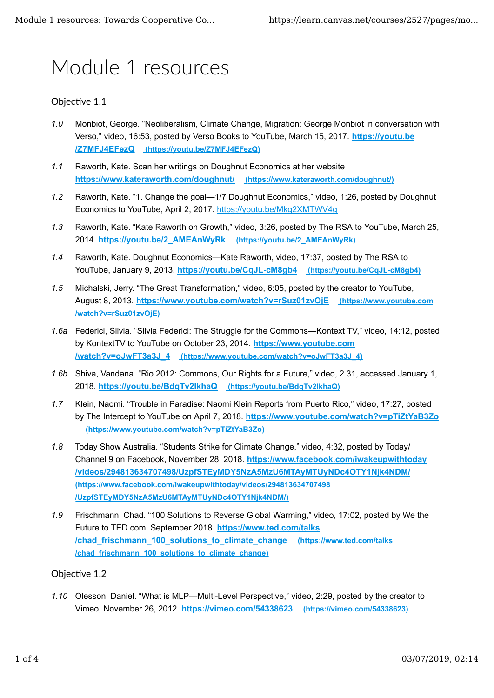# Module 1 resources

# Objective 1.1

- *1.0* Monbiot, George. "Neoliberalism, Climate Change, Migration: George Monbiot in conversation with Verso," video, 16:53, posted by Verso Books to YouTube, March 15, 2017. **https://youtu.be /Z7MFJ4EFezQ (https://youtu.be/Z7MFJ4EFezQ)**
- *1.1* Raworth, Kate. Scan her writings on Doughnut Economics at her website **https://www.kateraworth.com/doughnut/ (https://www.kateraworth.com/doughnut/)**
- *1.2* Raworth, Kate. "1. Change the goal—1/7 Doughnut Economics," video, 1:26, posted by Doughnut Economics to YouTube, April 2, 2017. https://youtu.be/Mkg2XMTWV4g
- *1.3* Raworth, Kate. "Kate Raworth on Growth," video, 3:26, posted by The RSA to YouTube, March 25, 2014. **https://youtu.be/2\_AMEAnWyRk (https://youtu.be/2\_AMEAnWyRk)**
- *1.4* Raworth, Kate. Doughnut Economics—Kate Raworth, video, 17:37, posted by The RSA to YouTube, January 9, 2013. **https://youtu.be/CqJL-cM8gb4 (https://youtu.be/CqJL-cM8gb4)**
- *1.5* Michalski, Jerry. "The Great Transformation," video, 6:05, posted by the creator to YouTube, August 8, 2013. **https://www.youtube.com/watch?v=rSuz01zvOjE (https://www.youtube.com /watch?v=rSuz01zvOjE)**
- *1.6a* Federici, Silvia. "Silvia Federici: The Struggle for the Commons—Kontext TV," video, 14:12, posted by KontextTV to YouTube on October 23, 2014. **https://www.youtube.com /watch?v=oJwFT3a3J\_4 (https://www.youtube.com/watch?v=oJwFT3a3J\_4)**
- *1.6b* Shiva, Vandana. "Rio 2012: Commons, Our Rights for a Future," video, 2.31, accessed January 1, 2018. **https://youtu.be/BdqTv2lkhaQ (https://youtu.be/BdqTv2lkhaQ)**
- *1.7* Klein, Naomi. "Trouble in Paradise: Naomi Klein Reports from Puerto Rico," video, 17:27, posted by The Intercept to YouTube on April 7, 2018. **https://www.youtube.com/watch?v=pTiZtYaB3Zo (https://www.youtube.com/watch?v=pTiZtYaB3Zo)**
- *1.8* Today Show Australia. "Students Strike for Climate Change," video, 4:32, posted by Today/ Channel 9 on Facebook, November 28, 2018. **https://www.facebook.com/iwakeupwithtoday /videos/294813634707498/UzpfSTEyMDY5NzA5MzU6MTAyMTUyNDc4OTY1Njk4NDM/ (https://www.facebook.com/iwakeupwithtoday/videos/294813634707498 /UzpfSTEyMDY5NzA5MzU6MTAyMTUyNDc4OTY1Njk4NDM/)**
- *1.9* Frischmann, Chad. "100 Solutions to Reverse Global Warming," video, 17:02, posted by We the Future to TED.com, September 2018. **https://www.ted.com/talks /chad\_frischmann\_100\_solutions\_to\_climate\_change (https://www.ted.com/talks /chad\_frischmann\_100\_solutions\_to\_climate\_change)**

#### Objective 1.2

*1.10* Olesson, Daniel. "What is MLP—Multi-Level Perspective," video, 2:29, posted by the creator to Vimeo, November 26, 2012. **https://vimeo.com/54338623 (https://vimeo.com/54338623)**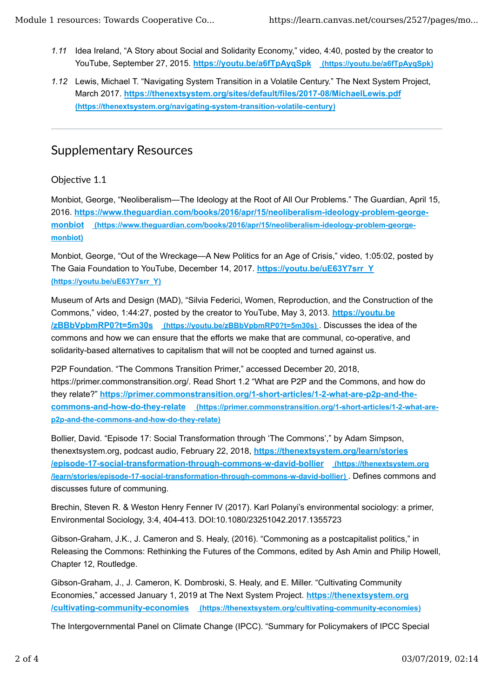- *1.11* Idea Ireland, "A Story about Social and Solidarity Economy," video, 4:40, posted by the creator to YouTube, September 27, 2015. **https://youtu.be/a6fTpAyqSpk (https://youtu.be/a6fTpAyqSpk)**
- *1.12* Lewis, Michael T. "Navigating System Transition in a Volatile Century." The Next System Project, March 2017. **https://thenextsystem.org/sites/default/files/2017-08/MichaelLewis.pdf (https://thenextsystem.org/navigating-system-transition-volatile-century)**

# Supplementary Resources

### Objective 1.1

Monbiot, George, "Neoliberalism—The Ideology at the Root of All Our Problems." The Guardian, April 15, 2016. **https://www.theguardian.com/books/2016/apr/15/neoliberalism-ideology-problem-georgemonbiot (https://www.theguardian.com/books/2016/apr/15/neoliberalism-ideology-problem-georgemonbiot)**

Monbiot, George, "Out of the Wreckage—A New Politics for an Age of Crisis," video, 1:05:02, posted by The Gaia Foundation to YouTube, December 14, 2017. **https://youtu.be/uE63Y7srr\_Y (https://youtu.be/uE63Y7srr\_Y)**

Museum of Arts and Design (MAD), "Silvia Federici, Women, Reproduction, and the Construction of the Commons," video, 1:44:27, posted by the creator to YouTube, May 3, 2013. **https://youtu.be /zBBbVpbmRP0?t=5m30s (https://youtu.be/zBBbVpbmRP0?t=5m30s)** . Discusses the idea of the commons and how we can ensure that the efforts we make that are communal, co-operative, and solidarity-based alternatives to capitalism that will not be coopted and turned against us.

P2P Foundation. "The Commons Transition Primer," accessed December 20, 2018, https://primer.commonstransition.org/. Read Short 1.2 "What are P2P and the Commons, and how do they relate?" **https://primer.commonstransition.org/1-short-articles/1-2-what-are-p2p-and-thecommons-and-how-do-they-relate (https://primer.commonstransition.org/1-short-articles/1-2-what-arep2p-and-the-commons-and-how-do-they-relate)**

Bollier, David. "Episode 17: Social Transformation through 'The Commons'," by Adam Simpson, thenextsystem.org, podcast audio, February 22, 2018, **https://thenextsystem.org/learn/stories /episode-17-social-transformation-through-commons-w-david-bollier (https://thenextsystem.org /learn/stories/episode-17-social-transformation-through-commons-w-david-bollier)** . Defines commons and discusses future of communing.

Brechin, Steven R. & Weston Henry Fenner IV (2017). Karl Polanyi's environmental sociology: a primer, Environmental Sociology, 3:4, 404-413. DOI:10.1080/23251042.2017.1355723

Gibson-Graham, J.K., J. Cameron and S. Healy, (2016). "Commoning as a postcapitalist politics," in Releasing the Commons: Rethinking the Futures of the Commons, edited by Ash Amin and Philip Howell, Chapter 12, Routledge.

Gibson-Graham, J., J. Cameron, K. Dombroski, S. Healy, and E. Miller. "Cultivating Community Economies," accessed January 1, 2019 at The Next System Project. **https://thenextsystem.org /cultivating-community-economies (https://thenextsystem.org/cultivating-community-economies)**

The Intergovernmental Panel on Climate Change (IPCC). "Summary for Policymakers of IPCC Special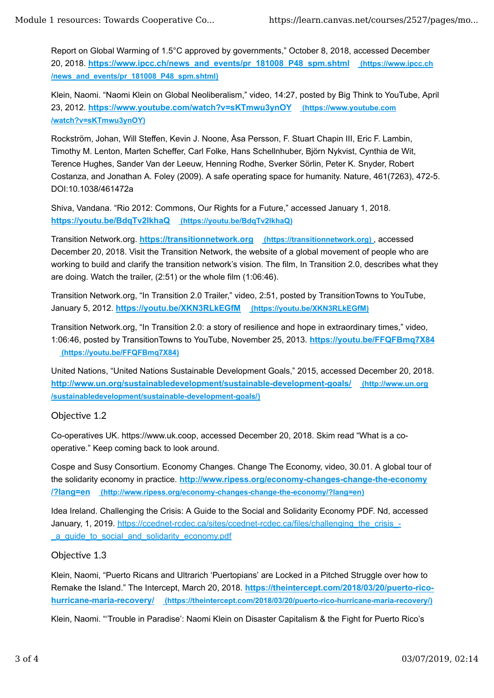Report on Global Warming of 1.5°C approved by governments," October 8, 2018, accessed December 20, 2018. **https://www.ipcc.ch/news\_and\_events/pr\_181008\_P48\_spm.shtml (https://www.ipcc.ch /news\_and\_events/pr\_181008\_P48\_spm.shtml)**

Klein, Naomi. "Naomi Klein on Global Neoliberalism," video, 14:27, posted by Big Think to YouTube, April 23, 2012. **https://www.youtube.com/watch?v=sKTmwu3ynOY (https://www.youtube.com /watch?v=sKTmwu3ynOY)**

Rockström, Johan, Will Steffen, Kevin J. Noone, Åsa Persson, F. Stuart Chapin III, Eric F. Lambin, Timothy M. Lenton, Marten Scheffer, Carl Folke, Hans Schellnhuber, Björn Nykvist, Cynthia de Wit, Terence Hughes, Sander Van der Leeuw, Henning Rodhe, Sverker Sörlin, Peter K. Snyder, Robert Costanza, and Jonathan A. Foley (2009). A safe operating space for humanity. Nature, 461(7263), 472-5. DOI:10.1038/461472a

Shiva, Vandana. "Rio 2012: Commons, Our Rights for a Future," accessed January 1, 2018. **https://youtu.be/BdqTv2lkhaQ (https://youtu.be/BdqTv2lkhaQ)**

Transition Network.org. **https://transitionnetwork.org (https://transitionnetwork.org)** , accessed December 20, 2018. Visit the Transition Network, the website of a global movement of people who are working to build and clarify the transition network's vision. The film, In Transition 2.0, describes what they are doing. Watch the trailer, (2:51) or the whole film (1:06:46).

Transition Network.org, "In Transition 2.0 Trailer," video, 2:51, posted by TransitionTowns to YouTube, January 5, 2012. **https://youtu.be/XKN3RLkEGfM (https://youtu.be/XKN3RLkEGfM)**

Transition Network.org, "In Transition 2.0: a story of resilience and hope in extraordinary times," video, 1:06:46, posted by TransitionTowns to YouTube, November 25, 2013. **https://youtu.be/FFQFBmq7X84 (https://youtu.be/FFQFBmq7X84)**

United Nations, "United Nations Sustainable Development Goals," 2015, accessed December 20, 2018. **http://www.un.org/sustainabledevelopment/sustainable-development-goals/ (http://www.un.org /sustainabledevelopment/sustainable-development-goals/)**

# Objective 1.2

Co-operatives UK. https://www.uk.coop, accessed December 20, 2018. Skim read "What is a cooperative." Keep coming back to look around.

Cospe and Susy Consortium. Economy Changes. Change The Economy, video, 30.01. A global tour of the solidarity economy in practice. **http://www.ripess.org/economy-changes-change-the-economy /?lang=en (http://www.ripess.org/economy-changes-change-the-economy/?lang=en)**

Idea Ireland. Challenging the Crisis: A Guide to the Social and Solidarity Economy PDF. Nd, accessed January, 1, 2019. https://ccednet-rcdec.ca/sites/ccednet-rcdec.ca/files/challenging\_the\_crisis\_-\_a\_quide\_to\_social\_and\_solidarity\_economy.pdf

# Objective 1.3

Klein, Naomi, "Puerto Ricans and Ultrarich 'Puertopians' are Locked in a Pitched Struggle over how to Remake the Island." The Intercept, March 20, 2018. **https://theintercept.com/2018/03/20/puerto-ricohurricane-maria-recovery/ (https://theintercept.com/2018/03/20/puerto-rico-hurricane-maria-recovery/)**

Klein, Naomi. "'Trouble in Paradise': Naomi Klein on Disaster Capitalism & the Fight for Puerto Rico's